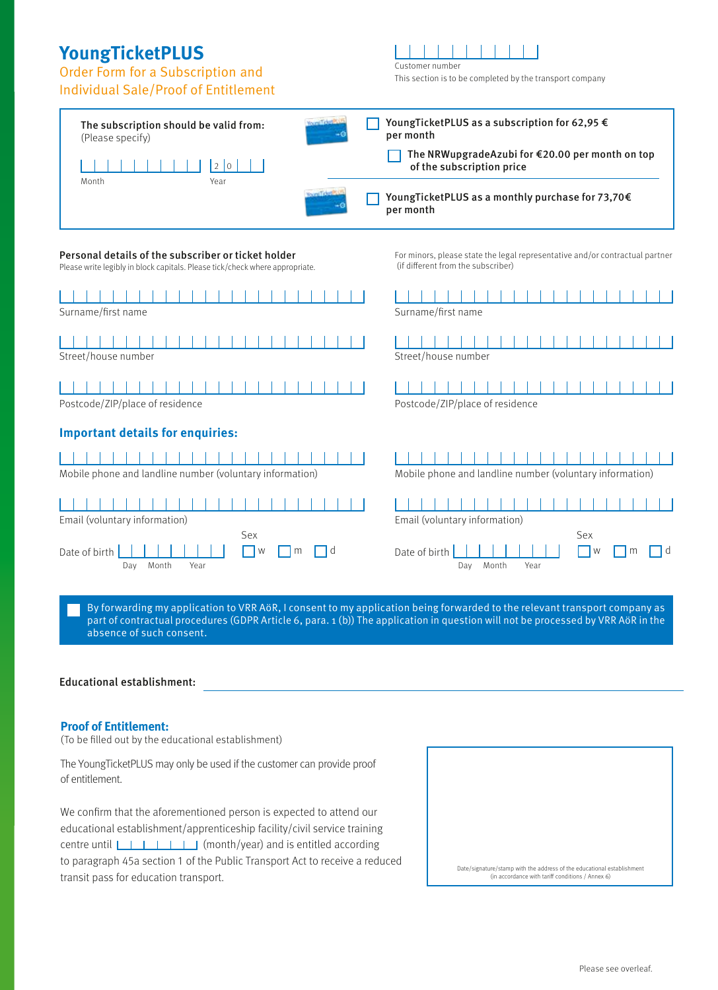# **YoungTicketPLUS**

# Order Form for a Subscription and

## Individual Sale/Proof of Entitlement

Customer number

This section is to be completed by the transport company



part of contractual procedures (GDPR Article 6, para. 1 (b)) The application in question will not be processed by VRR AöR in the absence of such consent.

#### Educational establishment:

#### **Proof of Entitlement:**

(To be filled out by the educational establishment)

The YoungTicketPLUS may only be used if the customer can provide proof of entitlement.

We confirm that the aforementioned person is expected to attend our educational establishment/apprenticeship facility/civil service training centre until  $\Box$   $\Box$   $\Box$  (month/year) and is entitled according to paragraph 45a section 1 of the Public Transport Act to receive a reduced transit pass for education transport.

| Date/signature/stamp with the address of the educational establishment<br>(in accordance with tariff conditions / Annex 6) |
|----------------------------------------------------------------------------------------------------------------------------|